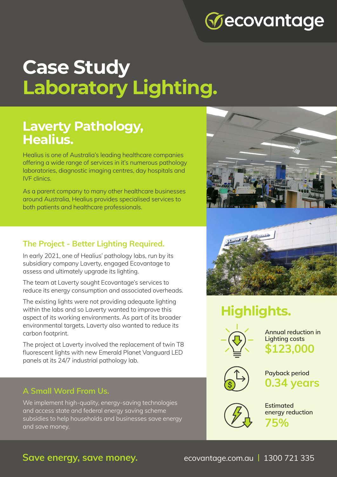# **Vecovantage**

# **Case Study Laboratory Lighting.**

### **Laverty Pathology, Healius.**

Healius is one of Australia's leading healthcare companies offering a wide range of services in it's numerous pathology laboratories, diagnostic imaging centres, day hospitals and IVF clinics.

As a parent company to many other healthcare businesses around Australia, Healius provides specialised services to both patients and healthcare professionals.

### **The Project - Better Lighting Required.**

In early 2021, one of Healius' pathology labs, run by its subsidiary company Laverty, engaged Ecovantage to assess and ultimately upgrade its lighting.

The team at Laverty sought Ecovantage's services to reduce its energy consumption and associated overheads.

The existing lights were not providing adequate lighting within the labs and so Laverty wanted to improve this aspect of its working environments. As part of its broader environmental targets, Laverty also wanted to reduce its carbon footprint.

The project at Laverty involved the replacement of twin T8 fluorescent lights with new Emerald Planet Vanguard LED panels at its 24/7 industrial pathology lab.

### **A Small Word From Us.**

We implement high-quality, energy-saving technologies and access state and federal energy saving scheme subsidies to help households and businesses save energy and save money.





## **Highlights.**



**Annual reduction in Lighting costs \$123,000**



**Payback period 0.34 years**



**Estimated energy reduction 75%**